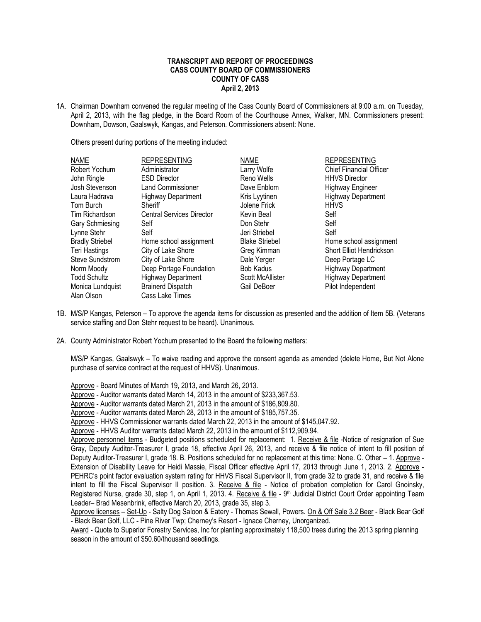## **TRANSCRIPT AND REPORT OF PROCEEDINGS CASS COUNTY BOARD OF COMMISSIONERS COUNTY OF CASS April 2, 2013**

1A. Chairman Downham convened the regular meeting of the Cass County Board of Commissioners at 9:00 a.m. on Tuesday, April 2, 2013, with the flag pledge, in the Board Room of the Courthouse Annex, Walker, MN. Commissioners present: Downham, Dowson, Gaalswyk, Kangas, and Peterson. Commissioners absent: None.

Others present during portions of the meeting included:

| <b>NAME</b>            | <b>REPRESENTING</b>              | <b>NAME</b>             | <b>REPRESENTING</b>            |
|------------------------|----------------------------------|-------------------------|--------------------------------|
| Robert Yochum          | Administrator                    | Larry Wolfe             | <b>Chief Financial Officer</b> |
| John Ringle            | <b>ESD Director</b>              | Reno Wells              | <b>HHVS Director</b>           |
| Josh Stevenson         | <b>Land Commissioner</b>         | Dave Enblom             | <b>Highway Engineer</b>        |
| Laura Hadrava          | <b>Highway Department</b>        | Kris Lyytinen           | <b>Highway Department</b>      |
| Tom Burch              | Sheriff                          | Jolene Frick            | <b>HHVS</b>                    |
| Tim Richardson         | <b>Central Services Director</b> | Kevin Beal              | Self                           |
| Gary Schmiesing        | Self                             | Don Stehr               | Self                           |
| Lynne Stehr            | Self                             | Jeri Striebel           | Self                           |
| <b>Bradly Striebel</b> | Home school assignment           | <b>Blake Striebel</b>   | Home school assignment         |
| Teri Hastings          | City of Lake Shore               | Greg Kimman             | Short Elliot Hendrickson       |
| <b>Steve Sundstrom</b> | City of Lake Shore               | Dale Yerger             | Deep Portage LC                |
| Norm Moody             | Deep Portage Foundation          | <b>Bob Kadus</b>        | <b>Highway Department</b>      |
| <b>Todd Schultz</b>    | <b>Highway Department</b>        | <b>Scott McAllister</b> | <b>Highway Department</b>      |
| Monica Lundquist       | <b>Brainerd Dispatch</b>         | Gail DeBoer             | Pilot Independent              |
| Alan Olson             | Cass Lake Times                  |                         |                                |

- 1B. M/S/P Kangas, Peterson To approve the agenda items for discussion as presented and the addition of Item 5B. (Veterans service staffing and Don Stehr request to be heard). Unanimous.
- 2A. County Administrator Robert Yochum presented to the Board the following matters:

M/S/P Kangas, Gaalswyk – To waive reading and approve the consent agenda as amended (delete Home, But Not Alone purchase of service contract at the request of HHVS). Unanimous.

Approve - Board Minutes of March 19, 2013, and March 26, 2013.

Approve - Auditor warrants dated March 14, 2013 in the amount of \$233,367.53.

Approve - Auditor warrants dated March 21, 2013 in the amount of \$186,809.80.

Approve - Auditor warrants dated March 28, 2013 in the amount of \$185,757.35.

Approve - HHVS Commissioner warrants dated March 22, 2013 in the amount of \$145,047.92.

Approve - HHVS Auditor warrants dated March 22, 2013 in the amount of \$112,909.94.

Approve personnel items - Budgeted positions scheduled for replacement: 1. Receive & file -Notice of resignation of Sue Gray, Deputy Auditor-Treasurer I, grade 18, effective April 26, 2013, and receive & file notice of intent to fill position of Deputy Auditor-Treasurer I, grade 18. B. Positions scheduled for no replacement at this time: None. C. Other – 1. Approve - Extension of Disability Leave for Heidi Massie, Fiscal Officer effective April 17, 2013 through June 1, 2013. 2. Approve - PEHRC's point factor evaluation system rating for HHVS Fiscal Supervisor II, from grade 32 to grade 31, and receive & file intent to fill the Fiscal Supervisor II position. 3. Receive & file - Notice of probation completion for Carol Gnoinsky, Registered Nurse, grade 30, step 1, on April 1, 2013. 4. Receive & file - 9<sup>th</sup> Judicial District Court Order appointing Team Leader– Brad Mesenbrink, effective March 20, 2013, grade 35, step 3.

Approve licenses – Set-Up - Salty Dog Saloon & Eatery - Thomas Sewall, Powers. On & Off Sale 3.2 Beer - Black Bear Golf - Black Bear Golf, LLC - Pine River Twp; Cherney's Resort - Ignace Cherney, Unorganized.

Award - Quote to Superior Forestry Services, Inc for planting approximately 118,500 trees during the 2013 spring planning season in the amount of \$50.60/thousand seedlings.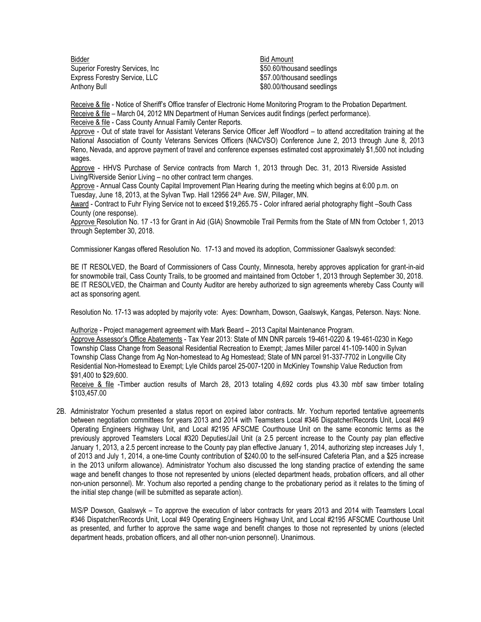Bidder **Bidder** Bid Amount Superior Forestry Services, Inc \$50.60/thousand seedlings Express Forestry Service, LLC \$57.00/thousand seedlings Anthony Bull **Anthony Bull Bull 2008 CONSIDER SALES SEEMS** SALES SOLUTIONS And Seedlings

Receive & file - Notice of Sheriff's Office transfer of Electronic Home Monitoring Program to the Probation Department. Receive & file – March 04, 2012 MN Department of Human Services audit findings (perfect performance).

Receive & file - Cass County Annual Family Center Reports.

Approve - Out of state travel for Assistant Veterans Service Officer Jeff Woodford – to attend accreditation training at the National Association of County Veterans Services Officers (NACVSO) Conference June 2, 2013 through June 8, 2013 Reno, Nevada, and approve payment of travel and conference expenses estimated cost approximately \$1,500 not including wages.

 Approve - HHVS Purchase of Service contracts from March 1, 2013 through Dec. 31, 2013 Riverside Assisted Living/Riverside Senior Living – no other contract term changes.

Approve - Annual Cass County Capital Improvement Plan Hearing during the meeting which begins at 6:00 p.m. on Tuesday, June 18, 2013, at the Sylvan Twp. Hall 12956 24<sup>th</sup> Ave. SW, Pillager, MN.

Award - Contract to Fuhr Flying Service not to exceed \$19,265.75 - Color infrared aerial photography flight –South Cass County (one response).

Approve Resolution No. 17 -13 for Grant in Aid (GIA) Snowmobile Trail Permits from the State of MN from October 1, 2013 through September 30, 2018.

Commissioner Kangas offered Resolution No. 17-13 and moved its adoption, Commissioner Gaalswyk seconded:

BE IT RESOLVED, the Board of Commissioners of Cass County, Minnesota, hereby approves application for grant-in-aid for snowmobile trail, Cass County Trails, to be groomed and maintained from October 1, 2013 through September 30, 2018. BE IT RESOLVED, the Chairman and County Auditor are hereby authorized to sign agreements whereby Cass County will act as sponsoring agent.

Resolution No. 17-13 was adopted by majority vote: Ayes: Downham, Dowson, Gaalswyk, Kangas, Peterson. Nays: None.

Authorize - Project management agreement with Mark Beard – 2013 Capital Maintenance Program. Approve Assessor's Office Abatements - Tax Year 2013: State of MN DNR parcels 19-461-0220 & 19-461-0230 in Kego Township Class Change from Seasonal Residential Recreation to Exempt; James Miller parcel 41-109-1400 in Sylvan Township Class Change from Ag Non-homestead to Ag Homestead; State of MN parcel 91-337-7702 in Longville City Residential Non-Homestead to Exempt; Lyle Childs parcel 25-007-1200 in McKinley Township Value Reduction from \$91,400 to \$29,600.

Receive & file -Timber auction results of March 28, 2013 totaling 4,692 cords plus 43.30 mbf saw timber totaling \$103,457.00

2B. Administrator Yochum presented a status report on expired labor contracts. Mr. Yochum reported tentative agreements between negotiation committees for years 2013 and 2014 with Teamsters Local #346 Dispatcher/Records Unit, Local #49 Operating Engineers Highway Unit, and Local #2195 AFSCME Courthouse Unit on the same economic terms as the previously approved Teamsters Local #320 Deputies/Jail Unit (a 2.5 percent increase to the County pay plan effective January 1, 2013, a 2.5 percent increase to the County pay plan effective January 1, 2014, authorizing step increases July 1, of 2013 and July 1, 2014, a one-time County contribution of \$240.00 to the self-insured Cafeteria Plan, and a \$25 increase in the 2013 uniform allowance). Administrator Yochum also discussed the long standing practice of extending the same wage and benefit changes to those not represented by unions (elected department heads, probation officers, and all other non-union personnel). Mr. Yochum also reported a pending change to the probationary period as it relates to the timing of the initial step change (will be submitted as separate action).

M/S/P Dowson, Gaalswyk – To approve the execution of labor contracts for years 2013 and 2014 with Teamsters Local #346 Dispatcher/Records Unit, Local #49 Operating Engineers Highway Unit, and Local #2195 AFSCME Courthouse Unit as presented, and further to approve the same wage and benefit changes to those not represented by unions (elected department heads, probation officers, and all other non-union personnel). Unanimous.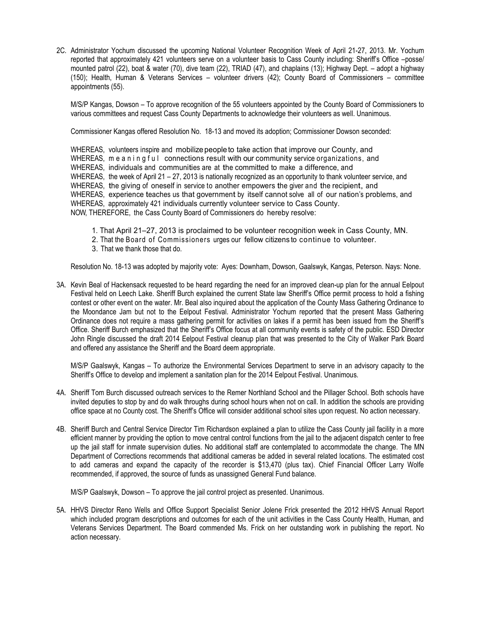2C. Administrator Yochum discussed the upcoming National Volunteer Recognition Week of April 21-27, 2013. Mr. Yochum reported that approximately 421 volunteers serve on a volunteer basis to Cass County including: Sheriff's Office –posse/ mounted patrol (22), boat & water (70), dive team (22), TRIAD (47), and chaplains (13); Highway Dept. – adopt a highway (150); Health, Human & Veterans Services – volunteer drivers (42); County Board of Commissioners – committee appointments (55).

M/S/P Kangas, Dowson – To approve recognition of the 55 volunteers appointed by the County Board of Commissioners to various committees and request Cass County Departments to acknowledge their volunteers as well. Unanimous.

Commissioner Kangas offered Resolution No. 18-13 and moved its adoption; Commissioner Dowson seconded:

WHEREAS, volunteers inspire and mobilize people to take action that improve our County, and WHEREAS, me a n i n g f u l connections result with our community service organizations, and WHEREAS, individuals and communities are at the committed to make <sup>a</sup> difference, and WHEREAS, the week of April 21 – 27, 2013 is nationally recognized as an opportunity to thank volunteer service, and WHEREAS, the giving of oneself in service to another empowers the giver and the recipient, and WHEREAS, experience teaches us that government by itself cannot solve all of our nation'<sup>s</sup> problems, and WHEREAS, approximately 421 individuals currently volunteer service to Cass County. NOW, THEREFORE, the Cass County Board of Commissioners do hereby resolve:

- 1. That April 21–27, 2013 is proclaimed to be volunteer recognition week in Cass County, MN.
- 2. That the Board of Commissioners urges our fellow citizens to continue to volunteer.
- 3. That we thank those that do.

Resolution No. 18-13 was adopted by majority vote: Ayes: Downham, Dowson, Gaalswyk, Kangas, Peterson. Nays: None.

3A. Kevin Beal of Hackensack requested to be heard regarding the need for an improved clean-up plan for the annual Eelpout Festival held on Leech Lake. Sheriff Burch explained the current State law Sheriff's Office permit process to hold a fishing contest or other event on the water. Mr. Beal also inquired about the application of the County Mass Gathering Ordinance to the Moondance Jam but not to the Eelpout Festival. Administrator Yochum reported that the present Mass Gathering Ordinance does not require a mass gathering permit for activities on lakes if a permit has been issued from the Sheriff's Office. Sheriff Burch emphasized that the Sheriff's Office focus at all community events is safety of the public. ESD Director John Ringle discussed the draft 2014 Eelpout Festival cleanup plan that was presented to the City of Walker Park Board and offered any assistance the Sheriff and the Board deem appropriate.

M/S/P Gaalswyk, Kangas – To authorize the Environmental Services Department to serve in an advisory capacity to the Sheriff's Office to develop and implement a sanitation plan for the 2014 Eelpout Festival. Unanimous.

- 4A. Sheriff Tom Burch discussed outreach services to the Remer Northland School and the Pillager School. Both schools have invited deputies to stop by and do walk throughs during school hours when not on call. In addition the schools are providing office space at no County cost. The Sheriff's Office will consider additional school sites upon request. No action necessary.
- 4B. Sheriff Burch and Central Service Director Tim Richardson explained a plan to utilize the Cass County jail facility in a more efficient manner by providing the option to move central control functions from the jail to the adjacent dispatch center to free up the jail staff for inmate supervision duties. No additional staff are contemplated to accommodate the change. The MN Department of Corrections recommends that additional cameras be added in several related locations. The estimated cost to add cameras and expand the capacity of the recorder is \$13,470 (plus tax). Chief Financial Officer Larry Wolfe recommended, if approved, the source of funds as unassigned General Fund balance.

M/S/P Gaalswyk, Dowson – To approve the jail control project as presented. Unanimous.

5A. HHVS Director Reno Wells and Office Support Specialist Senior Jolene Frick presented the 2012 HHVS Annual Report which included program descriptions and outcomes for each of the unit activities in the Cass County Health, Human, and Veterans Services Department. The Board commended Ms. Frick on her outstanding work in publishing the report. No action necessary.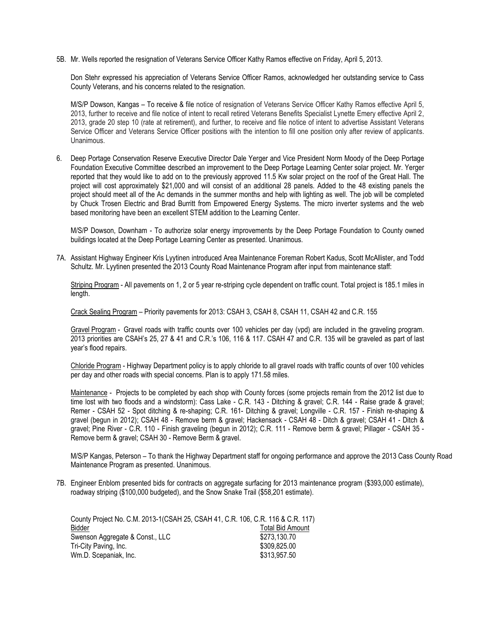5B. Mr. Wells reported the resignation of Veterans Service Officer Kathy Ramos effective on Friday, April 5, 2013.

Don Stehr expressed his appreciation of Veterans Service Officer Ramos, acknowledged her outstanding service to Cass County Veterans, and his concerns related to the resignation.

M/S/P Dowson, Kangas – To receive & file notice of resignation of Veterans Service Officer Kathy Ramos effective April 5, 2013, further to receive and file notice of intent to recall retired Veterans Benefits Specialist Lynette Emery effective April 2, 2013, grade 20 step 10 (rate at retirement), and further, to receive and file notice of intent to advertise Assistant Veterans Service Officer and Veterans Service Officer positions with the intention to fill one position only after review of applicants. Unanimous.

6. Deep Portage Conservation Reserve Executive Director Dale Yerger and Vice President Norm Moody of the Deep Portage Foundation Executive Committee described an improvement to the Deep Portage Learning Center solar project. Mr. Yerger reported that they would like to add on to the previously approved 11.5 Kw solar project on the roof of the Great Hall. The project will cost approximately \$21,000 and will consist of an additional 28 panels. Added to the 48 existing panels the project should meet all of the Ac demands in the summer months and help with lighting as well. The job will be completed by Chuck Trosen Electric and Brad Burritt from Empowered Energy Systems. The micro inverter systems and the web based monitoring have been an excellent STEM addition to the Learning Center.

M/S/P Dowson, Downham - To authorize solar energy improvements by the Deep Portage Foundation to County owned buildings located at the Deep Portage Learning Center as presented. Unanimous.

7A. Assistant Highway Engineer Kris Lyytinen introduced Area Maintenance Foreman Robert Kadus, Scott McAllister, and Todd Schultz. Mr. Lyytinen presented the 2013 County Road Maintenance Program after input from maintenance staff:

Striping Program - All pavements on 1, 2 or 5 year re-striping cycle dependent on traffic count. Total project is 185.1 miles in length.

Crack Sealing Program – Priority pavements for 2013: CSAH 3, CSAH 8, CSAH 11, CSAH 42 and C.R. 155

Gravel Program - Gravel roads with traffic counts over 100 vehicles per day (vpd) are included in the graveling program. 2013 priorities are CSAH's 25, 27 & 41 and C.R.'s 106, 116 & 117. CSAH 47 and C.R. 135 will be graveled as part of last year's flood repairs.

Chloride Program - Highway Department policy is to apply chloride to all gravel roads with traffic counts of over 100 vehicles per day and other roads with special concerns. Plan is to apply 171.58 miles.

Maintenance - Projects to be completed by each shop with County forces (some projects remain from the 2012 list due to time lost with two floods and a windstorm): Cass Lake - C.R. 143 - Ditching & gravel; C.R. 144 - Raise grade & gravel; Remer - CSAH 52 - Spot ditching & re-shaping; C.R. 161- Ditching & gravel; Longville - C.R. 157 - Finish re-shaping & gravel (begun in 2012); CSAH 48 - Remove berm & gravel; Hackensack - CSAH 48 - Ditch & gravel; CSAH 41 - Ditch & gravel; Pine River - C.R. 110 - Finish graveling (begun in 2012); C.R. 111 - Remove berm & gravel; Pillager - CSAH 35 - Remove berm & gravel; CSAH 30 - Remove Berm & gravel.

M/S/P Kangas, Peterson – To thank the Highway Department staff for ongoing performance and approve the 2013 Cass County Road Maintenance Program as presented. Unanimous.

7B. Engineer Enblom presented bids for contracts on aggregate surfacing for 2013 maintenance program (\$393,000 estimate), roadway striping (\$100,000 budgeted), and the Snow Snake Trail (\$58,201 estimate).

| County Project No. C.M. 2013-1(CSAH 25, CSAH 41, C.R. 106, C.R. 116 & C.R. 117) |                         |
|---------------------------------------------------------------------------------|-------------------------|
| Bidder                                                                          | <b>Total Bid Amount</b> |
| Swenson Aggregate & Const., LLC                                                 | \$273,130.70            |
| Tri-City Paving, Inc.                                                           | \$309,825.00            |
| Wm.D. Scepaniak, Inc.                                                           | \$313,957.50            |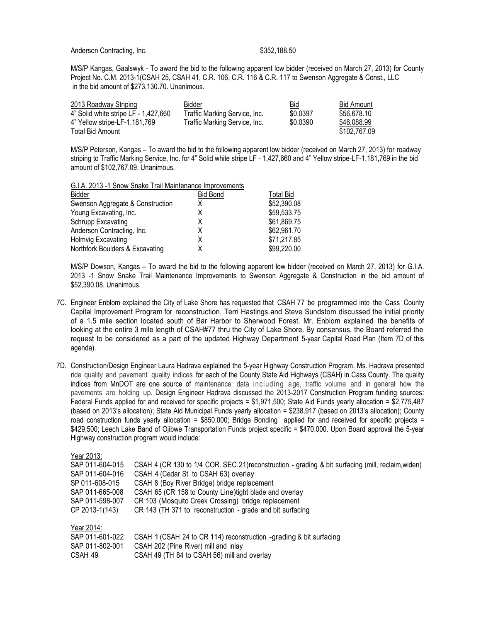M/S/P Kangas, Gaalswyk - To award the bid to the following apparent low bidder (received on March 27, 2013) for County Project No. C.M. 2013-1(CSAH 25, CSAH 41, C.R. 106, C.R. 116 & C.R. 117 to Swenson Aggregate & Const., LLC in the bid amount of \$273,130.70. Unanimous.

| 2013 Roadway Striping                | Bidder                        | <b>Bid</b> | Bid Amount   |
|--------------------------------------|-------------------------------|------------|--------------|
| 4" Solid white stripe LF - 1,427,660 | Traffic Marking Service, Inc. | \$0.0397   | \$56.678.10  |
| 4" Yellow stripe-LF-1,181,769        | Traffic Marking Service, Inc. | \$0.0390   | \$46.088.99  |
| Total Bid Amount                     |                               |            | \$102,767.09 |

M/S/P Peterson, Kangas – To award the bid to the following apparent low bidder (received on March 27, 2013) for roadway striping to Traffic Marking Service, Inc. for 4" Solid white stripe LF - 1,427,660 and 4" Yellow stripe-LF-1,181,769 in the bid amount of \$102,767.09. Unanimous.

| G.I.A. 2013 -1 Snow Snake Trail Maintenance Improvements |                 |                  |  |
|----------------------------------------------------------|-----------------|------------------|--|
| Bidder                                                   | <b>Bid Bond</b> | <b>Total Bid</b> |  |
| Swenson Aggregate & Construction                         | х               | \$52,390.08      |  |
| Young Excavating, Inc.                                   | χ               | \$59,533.75      |  |
| Schrupp Excavating                                       | Χ               | \$61,869.75      |  |
| Anderson Contracting, Inc.                               | Χ               | \$62,961.70      |  |
| Holmvig Excavating                                       | Χ               | \$71,217.85      |  |
| Northfork Boulders & Excavating                          |                 | \$99,220.00      |  |

M/S/P Dowson, Kangas – To award the bid to the following apparent low bidder (received on March 27, 2013) for G.I.A. 2013 -1 Snow Snake Trail Maintenance Improvements to Swenson Aggregate & Construction in the bid amount of \$52,390.08. Unanimous.

- 7C. Engineer Enblom explained the City of Lake Shore has requested that CSAH 77 be programmed into the Cass County Capital Improvement Program for reconstruction. Terri Hastings and Steve Sundstom discussed the initial priority of a 1.5 mile section located south of Bar Harbor to Sherwood Forest. Mr. Enblom explained the benefits of looking at the entire 3 mile length of CSAH#77 thru the City of Lake Shore. By consensus, the Board referred the request to be considered as a part of the updated Highway Department 5-year Capital Road Plan (Item 7D of this agenda).
- 7D. Construction/Design Engineer Laura Hadrava explained the 5-year Highway Construction Program. Ms. Hadrava presented ride quality and pavement quality indices for each of the County State Aid Highways (CSAH) in Cass County. The quality indices from MnDOT are one source of maintenance data including age, traffic volume and in general how the pavements are holding up. Design Engineer Hadrava discussed the 2013-2017 Construction Program funding sources: Federal Funds applied for and received for specific projects = \$1,971,500; State Aid Funds yearly allocation = \$2,775,487 (based on 2013's allocation); State Aid Municipal Funds yearly allocation = \$238,917 (based on 2013's allocation); County road construction funds yearly allocation = \$850,000; Bridge Bonding applied for and received for specific projects = \$429,500; Leech Lake Band of Ojibwe Transportation Funds project specific = \$470,000. Upon Board approval the 5-year Highway construction program would include:

| Year 2013:      |                                                                                                    |
|-----------------|----------------------------------------------------------------------------------------------------|
| SAP 011-604-015 | CSAH 4 (CR 130 to 1/4 COR. SEC.21) reconstruction - grading & bit surfacing (mill, reclaim, widen) |
| SAP 011-604-016 | CSAH 4 (Cedar St. to CSAH 63) overlay                                                              |
| SP 011-608-015  | CSAH 8 (Boy River Bridge) bridge replacement                                                       |
| SAP 011-665-008 | CSAH 65 (CR 158 to County Line) tight blade and overlay                                            |
| SAP 011-598-007 | CR 103 (Mosquito Creek Crossing) bridge replacement                                                |
| CP 2013-1(143)  | CR 143 (TH 371 to reconstruction - grade and bit surfacing                                         |
| Year 2014:      |                                                                                                    |
| SAP 011-601-022 | CSAH 1 (CSAH 24 to CR 114) reconstruction -grading & bit surfacing                                 |
| SAP 011-802-001 | CSAH 202 (Pine River) mill and inlay                                                               |
| CSAH 49         | CSAH 49 (TH 84 to CSAH 56) mill and overlay                                                        |